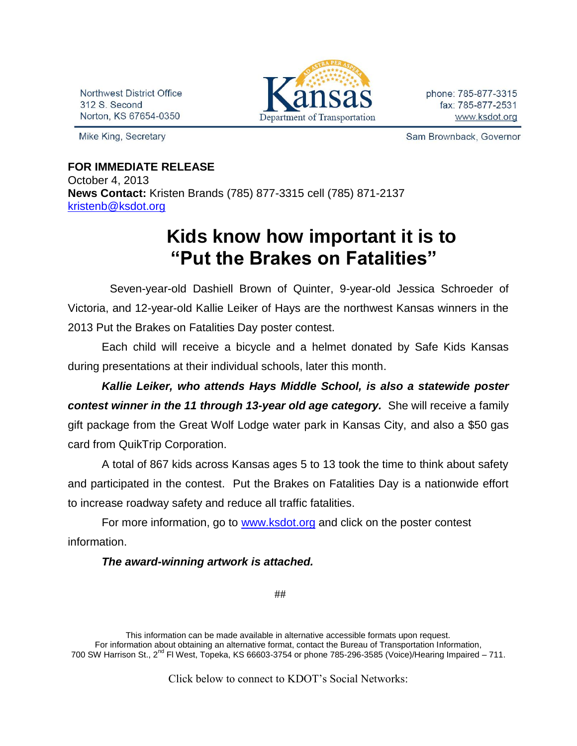Northwest District Office 312 S. Second Norton, KS 67654-0350

Mike King, Secretary



phone: 785-877-3315 fax: 785-877-2531 www.ksdot.org

Sam Brownback, Governor

# **FOR IMMEDIATE RELEASE** October 4, 2013 **News Contact:** Kristen Brands (785) 877-3315 cell (785) 871-2137 [kristenb@ksdot.org](mailto:kristenb@ksdot.org)

# **Kids know how important it is to "Put the Brakes on Fatalities"**

 Seven-year-old Dashiell Brown of Quinter, 9-year-old Jessica Schroeder of Victoria, and 12-year-old Kallie Leiker of Hays are the northwest Kansas winners in the 2013 Put the Brakes on Fatalities Day poster contest.

Each child will receive a bicycle and a helmet donated by Safe Kids Kansas during presentations at their individual schools, later this month.

*Kallie Leiker, who attends Hays Middle School, is also a statewide poster contest winner in the 11 through 13-year old age category.* She will receive a family gift package from the Great Wolf Lodge water park in Kansas City, and also a \$50 gas card from QuikTrip Corporation.

A total of 867 kids across Kansas ages 5 to 13 took the time to think about safety and participated in the contest. Put the Brakes on Fatalities Day is a nationwide effort to increase roadway safety and reduce all traffic fatalities.

For more information, go to [www.ksdot.org](http://www.ksdot.org/) and click on the poster contest information.

### *The award-winning artwork is attached.*

##

Click below to connect to KDOT's Social Networks:

This information can be made available in alternative accessible formats upon request. For information about obtaining an alternative format, contact the Bureau of Transportation Information, 700 SW Harrison St., 2<sup>nd</sup> Fl West, Topeka, KS 66603-3754 or phone 785-296-3585 (Voice)/Hearing Impaired – 711.